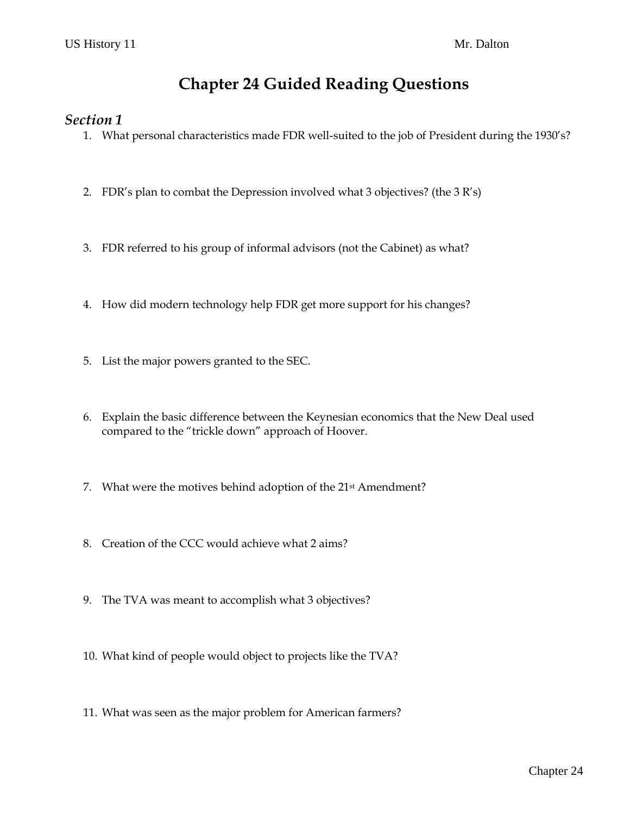# **Chapter 24 Guided Reading Questions**

#### *Section 1*

- 1. What personal characteristics made FDR well-suited to the job of President during the 1930's?
- 2. FDR's plan to combat the Depression involved what 3 objectives? (the 3 R's)
- 3. FDR referred to his group of informal advisors (not the Cabinet) as what?
- 4. How did modern technology help FDR get more support for his changes?
- 5. List the major powers granted to the SEC.
- 6. Explain the basic difference between the Keynesian economics that the New Deal used compared to the "trickle down" approach of Hoover.
- 7. What were the motives behind adoption of the 21st Amendment?
- 8. Creation of the CCC would achieve what 2 aims?
- 9. The TVA was meant to accomplish what 3 objectives?
- 10. What kind of people would object to projects like the TVA?
- 11. What was seen as the major problem for American farmers?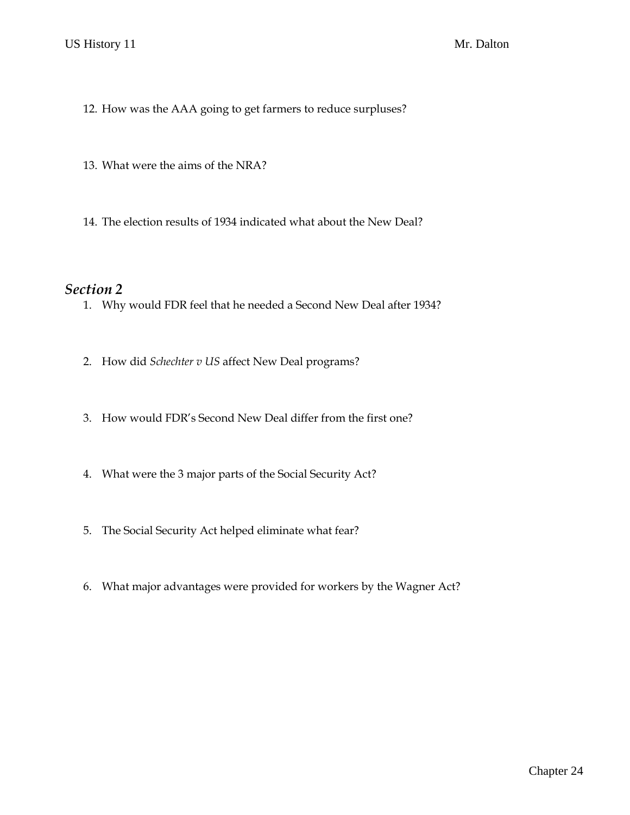- 12. How was the AAA going to get farmers to reduce surpluses?
- 13. What were the aims of the NRA?
- 14. The election results of 1934 indicated what about the New Deal?

#### *Section 2*

- 1. Why would FDR feel that he needed a Second New Deal after 1934?
- 2. How did *Schechter v US* affect New Deal programs?
- 3. How would FDR's Second New Deal differ from the first one?
- 4. What were the 3 major parts of the Social Security Act?
- 5. The Social Security Act helped eliminate what fear?
- 6. What major advantages were provided for workers by the Wagner Act?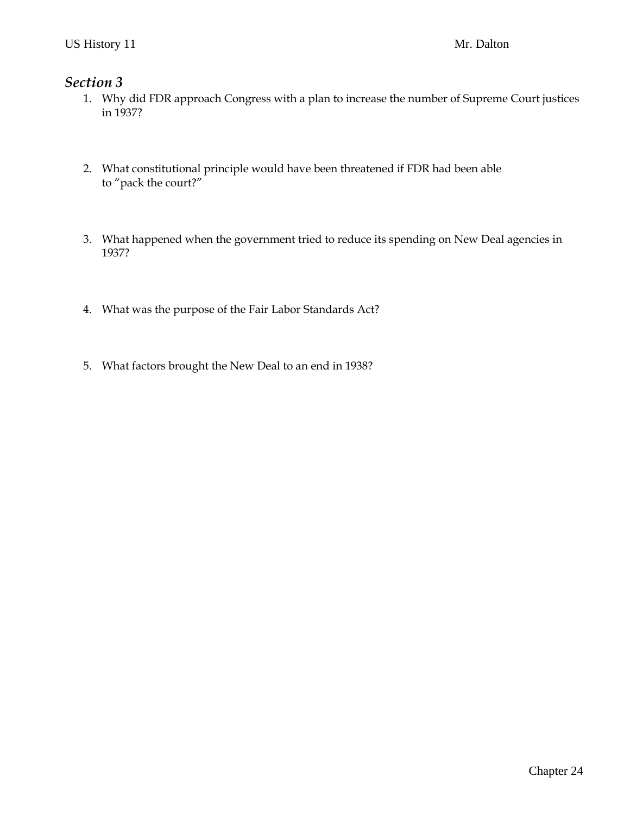### *Section 3*

- 1. Why did FDR approach Congress with a plan to increase the number of Supreme Court justices in 1937?
- 2. What constitutional principle would have been threatened if FDR had been able to "pack the court?"
- 3. What happened when the government tried to reduce its spending on New Deal agencies in 1937?
- 4. What was the purpose of the Fair Labor Standards Act?
- 5. What factors brought the New Deal to an end in 1938?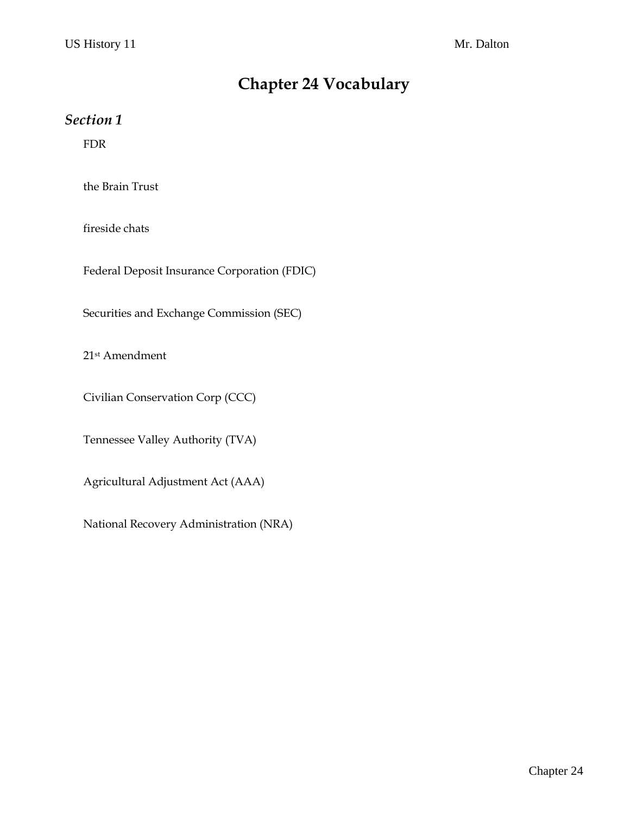# **Chapter 24 Vocabulary**

### *Section 1*

FDR

the Brain Trust

fireside chats

Federal Deposit Insurance Corporation (FDIC)

Securities and Exchange Commission (SEC)

21st Amendment

Civilian Conservation Corp (CCC)

Tennessee Valley Authority (TVA)

Agricultural Adjustment Act (AAA)

National Recovery Administration (NRA)